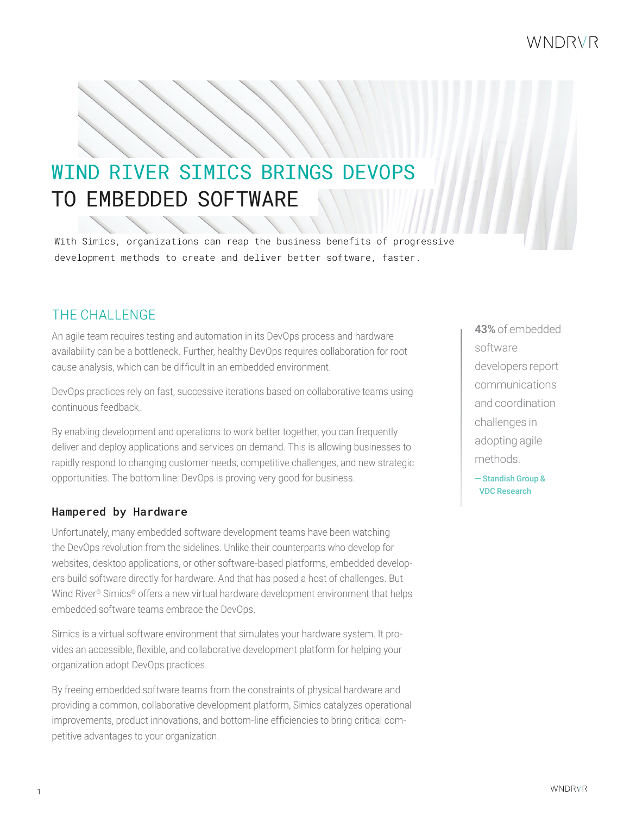## WNDRVR

# TO EMBEDDED SOFTWARE WIND RIVER SIMICS BRINGS DEVOPS

With Simics, organizations can reap the business benefits of progressive development methods to create and deliver better software, faster.

## THE CHALL ENGE

An agile team requires testing and automation in its DevOps process and hardware availability can be a bottleneck. Further, healthy DevOps requires collaboration for root cause analysis, which can be difficult in an embedded environment.

DevOps practices rely on fast, successive iterations based on collaborative teams using continuous feedback.

By enabling development and operations to work better together, you can frequently deliver and deploy applications and services on demand. This is allowing businesses to rapidly respond to changing customer needs, competitive challenges, and new strategic opportunities. The bottom line: DevOps is proving very good for business.

#### Hampered by Hardware

Unfortunately, many embedded software development teams have been watching the DevOps revolution from the sidelines. Unlike their counterparts who develop for websites, desktop applications, or other software-based platforms, embedded developers build software directly for hardware. And that has posed a host of challenges. But Wind River® Simics® offers a new virtual hardware development environment that helps embedded software teams embrace the DevOps.

Simics is a virtual software environment that simulates your hardware system. It provides an accessible, flexible, and collaborative development platform for helping your organization adopt DevOps practices.

By freeing embedded software teams from the constraints of physical hardware and providing a common, collaborative development platform, Simics catalyzes operational improvements, product innovations, and bottom-line efficiencies to bring critical competitive advantages to your organization.

43% of embedded software developers report communications and coordination challenges in adopting agile methods.

— Standish Group & VDC Research